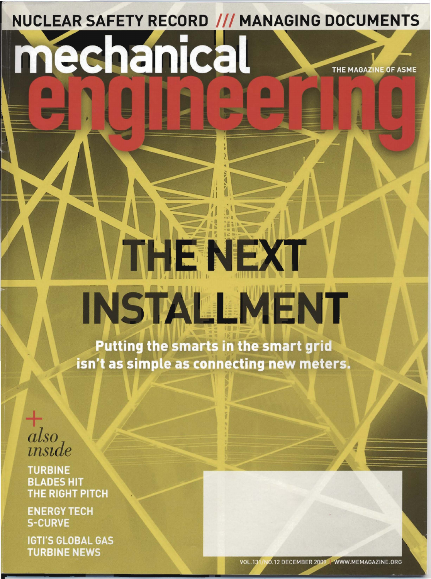NUCLEAR SAFETY RECORD /// MANAGING DOCUMENTS

## mechanica THE MAGAZINE OF ASME

## **INSTALLMENT**

THENEXT

Putting the smarts in the smart grid isn't as simple as connecting new meters.

also<br>inside

**TURBINE BLADES HIT** THE RIGHT PITCH

**ENERGY TECH S-CURVE** 

**IGTI'S GLOBAL GAS TURBINE NEWS**